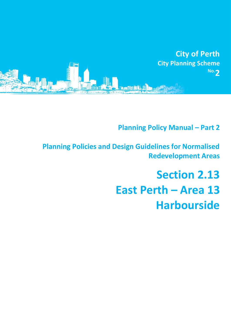

# **Planning Policy Manual - Part 2**

**Planning Policies and Design Guidelines for Normalised Redevelopment Areas**

# **Section 2.13 East Perth – Area 13 Harbourside**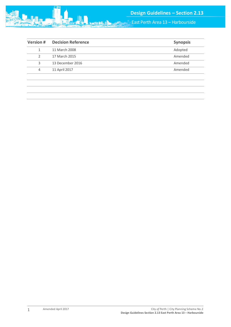

| <b>Version #</b> | <b>Decision Reference</b> | <b>Synopsis</b> |
|------------------|---------------------------|-----------------|
|                  | 11 March 2008             | Adopted         |
| 2                | 17 March 2015             | Amended         |
| 3                | 13 December 2016          | Amended         |
| 4                | 11 April 2017             | Amended         |
|                  |                           |                 |

1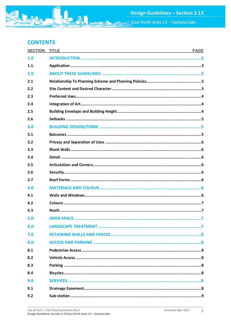# **CONTENTS**

| <b>SECTION</b> | <b>TITLE</b><br><b>PAGE</b> |
|----------------|-----------------------------|
| 1.0            |                             |
| 1.1.           |                             |
| 2.0            |                             |
| 2.1            |                             |
| 2.2            |                             |
| 2.3            |                             |
| 2.4            |                             |
| 2.5            |                             |
| 2.6            |                             |
| 3.0            |                             |
| 3.1            |                             |
| 3.2            |                             |
| 3.3            |                             |
| 3.4            |                             |
| 3.5            |                             |
| 3.6            |                             |
| 3.7            |                             |
| 4.0            |                             |
| 4.1            |                             |
| 4.2            |                             |
| 4.3            |                             |
| 5.0            |                             |
| 6.0            |                             |
| 7.0            |                             |
| 8.0            |                             |
| 8.1            |                             |
| 8.2            |                             |
| 8.3            |                             |
| 8.4            |                             |
| 9.0            |                             |
| 9.1            |                             |
| 9.2            |                             |

**min**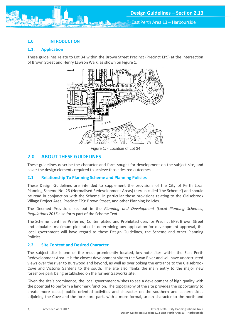## <span id="page-3-0"></span>**1.0 INTRODUCTION**

#### <span id="page-3-1"></span>**1.1. Application**

These guidelines relate to Lot 34 within the Brown Street Precinct (Precinct EP9) at the intersection of Brown Street and Henry Lawson Walk, as shown on Figure 1.



Figure 1: - Location of Lot 34

# <span id="page-3-2"></span>**2.0 ABOUT THESE GUIDELINES**

These guidelines describe the character and form sought for development on the subject site, and cover the design elements required to achieve those desired outcomes.

#### <span id="page-3-3"></span>**2.1 Relationship To Planning Scheme and Planning Policies**

These Design Guidelines are intended to supplement the provisions of the City of Perth Local Planning Scheme No. 26 (Normalised Redevelopment Areas) (herein called 'the Scheme') and should be read in conjunction with the Scheme, in particular those provisions relating to the Claisebrook Village Project Area, Precinct EP9: Brown Street, and other Planning Policies.

The Deemed Provisions set out in the *Planning and Development (Local Planning Schemes) Regulations 2015* also form part of the Scheme Text.

The Scheme identifies Preferred, Contemplated and Prohibited uses for Precinct EP9: Brown Street and stipulates maximum plot ratio. In determining any application for development approval, the local government will have regard to these Design Guidelines, the Scheme and other Planning Policies.

#### <span id="page-3-4"></span>**2.2 Site Context and Desired Character**

The subject site is one of the most prominently located, key-note sites within the East Perth Redevelopment Area. It is the closest development site to the Swan River and will have unobstructed views over the river to Burswood and beyond, as well as overlooking the entrance to the Claisebrook Cove and Victoria Gardens to the south. The site also flanks the main entry to the major new foreshore park being established on the former Gasworks site.

Given the site's prominence, the local government wishes to see a development of high quality with the potential to perform a landmark function. The topography of the site provides the opportunity to create more casual, public oriented activities and character on the southern and eastern sides adjoining the Cove and the foreshore park, with a more formal, urban character to the north and

3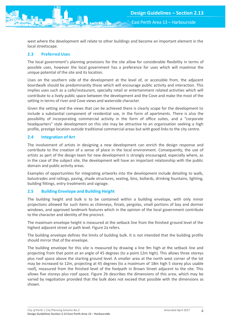west where the development will relate to other buildings and become an important element in the local streetscape.

# <span id="page-4-0"></span>**2.3 Preferred Uses**

The local government's planning provisions for the site allow for considerable flexibility in terms of possible uses, however the local government has a preference for uses which will maximise the unique potential of the site and its location.

Uses on the southern side of the development at the level of, or accessible from, the adjacent boardwalk should be predominantly those which will encourage public activity and interaction. This implies uses such as a cafe/restaurant, specialty retail or entertainment related activities which will contribute to a lively public space between the development and the Cove and make the most of the setting in terms of river and Cove views and waterside character.

Given the setting and the views that can be achieved there is clearly scope for the development to include a substantial component of residential use, in the form of apartments. There is also the possibility of incorporating commercial activity in the form of office suites, and a "corporate headquarters" style development on this site may be attractive to an organisation seeking a high profile, prestige location outside traditional commercial areas but with good links to the city centre.

# <span id="page-4-1"></span>**2.4 Integration of Art**

The involvement of artists in designing a new development can enrich the design response and contribute to the creation of a sense of place in the local environment. Consequently, the use of artists as part of the design team for new development is strongly encouraged, especially where, as in the case of the subject site, the development will have an important relationship with the public domain and public activity areas.

Examples of opportunities for integrating artworks into the development include detailing to walls, balustrades and railings, paving, shade structures, seating, bins, bollards, drinking fountains, lighting, building fittings, entry treatments and signage.

# <span id="page-4-2"></span>**2.5 Building Envelope and Building Height**

The building height and bulk is to be contained within a building envelope, with only minor projections allowed for such items as chimneys, finials, pergolas, small portions of bay and dormer windows, and approved landmark features which in the opinion of the local government contribute to the character and identity of the precinct.

The maximum envelope height is measured at the setback line from the finished ground level of the highest adjacent street or path level. Figure 2a refers.

The building envelope defines the limits of building bulk. It is not intended that the building profile should mirror that of the envelope.

The building envelope for this site is measured by drawing a line 9m high at the setback line and projecting from that point at an angle of 45 degrees (to a point 12m high). This allows three storeys plus roof space above the starting ground level. A smaller area at the north west corner of the lot may be increased to 12m, projecting at 45 degrees (to a maximum of 18m high 5 storey plus usable roof), measured from the finished level of the footpath in Brown Street adjacent to the site. This allows five storeys plus roof space. Figure 2b describes the dimensions of this area, which may be varied by negotiation provided that the bulk does not exceed that possible with the dimensions as shown.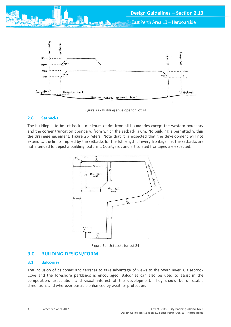



Figure 2a - Building envelope for Lot 34

#### <span id="page-5-0"></span>**2.6 Setbacks**

The building is to be set back a minimum of 4m from all boundaries except the western boundary and the corner truncation boundary, from which the setback is 6m. No building is permitted within the drainage easement. Figure 2b refers. Note that it is expected that the development will not extend to the limits implied by the setbacks for the full length of every frontage, i.e, the setbacks are not intended to depict a building footprint. Courtyards and articulated frontages are expected.



Figure 2b - Setbacks for Lot 34

# <span id="page-5-1"></span>**3.0 BUILDING DESIGN/FORM**

#### <span id="page-5-2"></span>**3.1 Balconies**

The inclusion of balconies and terraces to take advantage of views to the Swan River, Claisebrook Cove and the foreshore parklands is encouraged. Balconies can also be used to assist in the composition, articulation and visual interest of the development. They should be of usable dimensions and wherever possible enhanced by weather protection.

5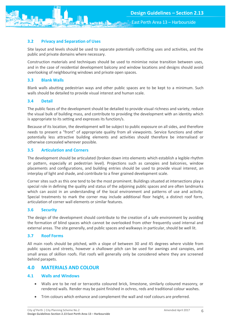### <span id="page-6-0"></span>**3.2 Privacy and Separation of Uses**

Site layout and levels should be used to separate potentially conflicting uses and activities, and the public and private domains where necessary.

Construction materials and techniques should be used to minimise noise transition between uses, and in the case of residential development balcony and window locations and designs should avoid overlooking of neighbouring windows and private open spaces.

#### <span id="page-6-1"></span>**3.3 Blank Walls**

Blank walls abutting pedestrian ways and other public spaces are to be kept to a minimum. Such walls should be detailed to provide visual interest and human scale.

#### <span id="page-6-2"></span>**3.4 Detail**

The public faces of the development should be detailed to provide visual richness and variety, reduce the visual bulk of building mass, and contribute to providing the development with an identity which is appropriate to its setting and expresses its function/s.

Because of its location, the development will be subject to public exposure on all sides, and therefore needs to present a "front" of appropriate quality from all viewpoints. Service functions and other potentially less attractive building elements and activities should therefore be internalised or otherwise concealed wherever possible.

#### <span id="page-6-3"></span>**3.5 Articulation and Corners**

The development should be articulated (broken down into elements which establish a legible rhythm or pattern, especially at pedestrian level). Projections such as canopies and balconies, window placements and configurations, and building entries should be used to provide visual interest, an interplay of light and shade, and contribute to a finer grained development scale.

Corner sites such as this one tend to be the most prominent. Buildings situated at intersections play a special role in defining the quality and status of the adjoining public spaces and are often landmarks which can assist in an understanding of the local environment and patterns of use and activity. Special treatments to mark the corner may include additional floor height, a distinct roof form, articulation of corner wall elements or similar features.

#### <span id="page-6-4"></span>**3.6 Security**

The design of the development should contribute to the creation of a safe environment by avoiding the formation of blind spaces which cannot be overlooked from other frequently used internal and external areas. The site generally, and public spaces and walkways in particular, should be well lit.

#### <span id="page-6-5"></span>**3.7 Roof Forms**

All main roofs should be pitched, with a slope of between 30 and 45 degrees where visible from public spaces and streets, however a shallower pitch can be used for awnings and canopies, and small areas of skillion roofs. Flat roofs will generally only be considered where they are screened behind parapets.

# <span id="page-6-6"></span>**4.0 MATERIALS AND COLOUR**

#### <span id="page-6-7"></span>**4.1 Walls and Windows**

- Walls are to be red or terracotta coloured brick, limestone, similarly coloured masonry, or rendered walls. Render may be paint finished in ochres, reds and traditional colour washes.
- Trim colours which enhance and complement the wall and roof colours are preferred.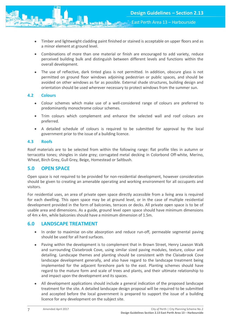- Timber and lightweight cladding paint finished or stained is acceptable on upper floors and as a minor element at ground level.
- Combinations of more than one material or finish are encouraged to add variety, reduce perceived building bulk and distinguish between different levels and functions within the overall development.
- The use of reflective, dark tinted glass is not permitted. In addition, obscure glass is not permitted on ground floor windows adjoining pedestrian or public spaces, and should be avoided on other windows as far as possible. External shade structures, building design and orientation should be used wherever necessary to protect windows from the summer sun.

#### <span id="page-7-0"></span>**4.2 Colours**

- Colour schemes which make use of a well-considered range of colours are preferred to predominantly monochrome colour schemes.
- Trim colours which complement and enhance the selected wall and roof colours are preferred.
- A detailed schedule of colours is required to be submitted for approval by the local government prior to the issue of a building licence.

#### <span id="page-7-1"></span>**4.3 Roofs**

Roof materials are to be selected from within the following range: flat profile tiles in autumn or terracotta tones; shingles in slate grey; corrugated metal decking in Colorbond Off-white, Merino, Wheat, Birch Grey, Gull Grey, Beige, Homestead or Saltbush.

#### <span id="page-7-2"></span>**5.0 OPEN SPACE**

Open space is not required to be provided for non-residential development, however consideration should be given to creating an amenable operating and working environment for all occupants and visitors.

For residential uses, an area of private open space directly accessible from a living area is required for each dwelling. This open space may be at ground level, or in the case of multiple residential development provided in the form of balconies, terraces or decks. All private open space is to be of usable area and dimensions. As a guide, ground level open space should have minimum dimensions of 4m x 4m, while balconies should have a minimum dimension of 1.5m.

# <span id="page-7-3"></span>**6.0 LANDSCAPE TREATMENT**

- In order to maximise on-site absorption and reduce run-off, permeable segmental paving should be used for all hard surfaces.
- Paving within the development is to complement that in Brown Street, Henry Lawson Walk and surrounding Claisebrook Cove, using similar sized paving modules, texture, colour and detailing. Landscape themes and planting should be consistent with the Claisebrook Cove landscape development generally, and also have regard to the landscape treatment being implemented for the adjacent foreshore park to the east. Planting schemes should have regard to the mature form and scale of trees and plants, and their ultimate relationship to and impact upon the development and its spaces.
- All development applications should include a general indication of the proposed landscape treatment for the site. A detailed landscape design proposal will be required to be submitted and accepted before the local government is prepared to support the issue of a building licence for any development on the subject site.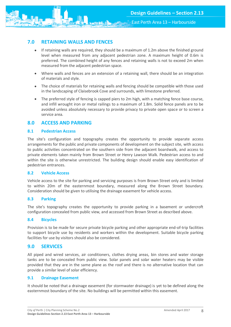<span id="page-8-0"></span>

- If retaining walls are required, they should be a maximum of 1.2m above the finished ground level when measured from any adjacent pedestrian zone. A maximum height of 0.6m is preferred. The combined height of any fences and retaining walls is not to exceed 2m when measured from the adjacent pedestrian space.
- Where walls and fences are an extension of a retaining wall, there should be an integration of materials and style.
- The choice of materials for retaining walls and fencing should be compatible with those used in the landscaping of Claisebrook Cove and surrounds, with limestone preferred.
- The preferred style of fencing is capped piers to 2m high, with a matching fence base course, and infill wrought iron or metal railings to a maximum of 1.8m. Solid fence panels are to be avoided unless absolutely necessary to provide privacy to private open space or to screen a service area.

# <span id="page-8-1"></span>**8.0 ACCESS AND PARKING**

#### <span id="page-8-2"></span>**8.1 Pedestrian Access**

The site's configuration and topography creates the opportunity to provide separate access arrangements for the public and private components of development on the subject site, with access to public activities concentrated on the southern side from the adjacent boardwalk, and access to private elements taken mainly from Brown Street or Henry Lawson Walk. Pedestrian access to and within the site is otherwise unrestricted. The building design should enable easy identification of pedestrian entrances.

#### <span id="page-8-3"></span>**8.2 Vehicle Access**

Vehicle access to the site for parking and servicing purposes is from Brown Street only and is limited to within 20m of the easternmost boundary, measured along the Brown Street boundary. Consideration should be given to utilising the drainage easement for vehicle access.

#### <span id="page-8-4"></span>**8.3 Parking**

The site's topography creates the opportunity to provide parking in a basement or undercroft configuration concealed from public view, and accessed from Brown Street as described above.

#### <span id="page-8-5"></span>**8.4 Bicycles**

Provision is to be made for secure private bicycle parking and other appropriate end-of-trip facilities to support bicycle use by residents and workers within the development. Suitable bicycle parking facilities for use by visitors should also be considered.

# <span id="page-8-6"></span>**9.0 SERVICES**

All piped and wired services, air conditioners, clothes drying areas, bin stores and water storage tanks are to be concealed from public view. Solar panels and solar water heaters may be visible provided that they are in the same plane as the roof and there is no alternative location that can provide a similar level of solar efficiency.

#### <span id="page-8-7"></span>**9.1 Drainage Easement**

<span id="page-8-8"></span>It should be noted that a drainage easement (for stormwater drainage) is yet to be defined along the easternmost boundary of the site. No buildings will be permitted within this easement.